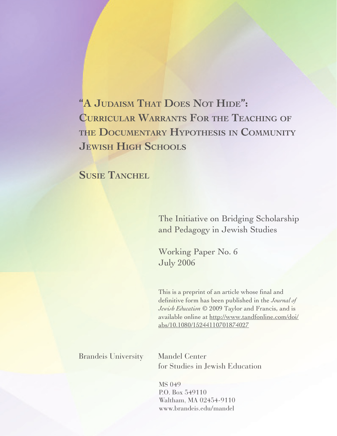**"A Judaism That Does Not Hide": Curricular Warrants For the Teaching of the Documentary Hypothesis in Community Jewish High Schools**

**SUSIE TANCHEL** 

The Initiative on Bridging Scholarship and Pedagogy in Jewish Studies

Working Paper No. 6 July 2006

This is a preprint of an article whose final and definitive form has been published in the *Journal of Jewish Education* © 2009 Taylor and Francis, and is available online at [http://www.tandfonline.com/doi/](http://www.tandfonline.com/doi/abs/10.1080/15244110701874027) [abs/10.1080/15244110701874027](http://www.tandfonline.com/doi/abs/10.1080/15244110701874027)

Brandeis University Mandel Center

for Studies in Jewish Education

MS 049 P.O. Box 549110 Waltham, MA 02454-9110 www.brandeis.edu/mandel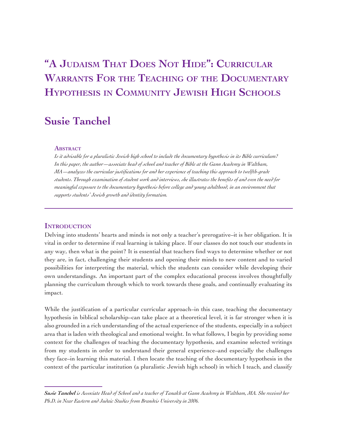# **"A Judaism That Does Not Hide": Curricular Warrants For the Teaching of the Documentary Hypothesis in Community Jewish High Schools**

# **Susie Tanchel**

#### **ABSTRACT**

*Is it advisable for a pluralistic Jewish high school to include the documentary hypothesis in its Bible curriculum? In this paper, the author—associate head of school and teacher of Bible at the Gann Academy in Waltham, MA—analyzes the curricular justifications for and her experience of teaching this approach to twelfth-grade students. Through examination of student work and interviews, she illustrates the benefits of and even the need for meaningful exposure to the documentary hypothesis before college and young adulthood, in an environment that supports students' Jewish growth and identity formation.*

#### **INTRODUCTION**

Delving into students' hearts and minds is not only a teacher's prerogative–it is her obligation. It is vital in order to determine if real learning is taking place. If our classes do not touch our students in any way, then what is the point? It is essential that teachers find ways to determine whether or not they are, in fact, challenging their students and opening their minds to new content and to varied possibilities for interpreting the material, which the students can consider while developing their own understandings. An important part of the complex educational process involves thoughtfully planning the curriculum through which to work towards these goals, and continually evaluating its impact.

While the justification of a particular curricular approach–in this case, teaching the documentary hypothesis in biblical scholarship–can take place at a theoretical level, it is far stronger when it is also grounded in a rich understanding of the actual experience of the students, especially in a subject area that is laden with theological and emotional weight. In what follows, I begin by providing some context for the challenges of teaching the documentary hypothesis, and examine selected writings from my students in order to understand their general experience–and especially the challenges they face–in learning this material. I then locate the teaching of the documentary hypothesis in the context of the particular institution (a pluralistic Jewish high school) in which I teach, and classify

*Susie Tanchel is Associate Head of School and a teacher of Tanakh at Gann Academy in Waltham, MA. She received her Ph.D. in Near Eastern and Judaic Studies from Brandeis University in 2006.*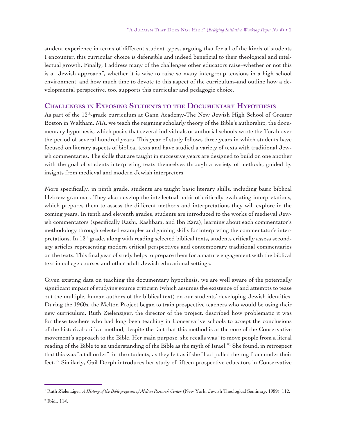student experience in terms of different student types, arguing that for all of the kinds of students I encounter, this curricular choice is defensible and indeed beneficial to their theological and intellectual growth. Finally, I address many of the challenges other educators raise–whether or not this is a "Jewish approach", whether it is wise to raise so many intergroup tensions in a high school environment, and how much time to devote to this aspect of the curriculum–and outline how a developmental perspective, too, supports this curricular and pedagogic choice.

# **Challenges in Exposing Students to the Documentary Hypothesis**

As part of the  $12<sup>th</sup>$ -grade curriculum at Gann Academy-The New Jewish High School of Greater Boston in Waltham, MA, we teach the reigning scholarly theory of the Bible's authorship, the documentary hypothesis, which posits that several individuals or authorial schools wrote the Torah over the period of several hundred years. This year of study follows three years in which students have focused on literary aspects of biblical texts and have studied a variety of texts with traditional Jewish commentaries. The skills that are taught in successive years are designed to build on one another with the goal of students interpreting texts themselves through a variety of methods, guided by insights from medieval and modern Jewish interpreters.

More specifically, in ninth grade, students are taught basic literary skills, including basic biblical Hebrew grammar. They also develop the intellectual habit of critically evaluating interpretations, which prepares them to assess the different methods and interpretations they will explore in the coming years. In tenth and eleventh grades, students are introduced to the works of medieval Jewish commentators (specifically Rashi, Rashbam, and Ibn Ezra), learning about each commentator's methodology through selected examples and gaining skills for interpreting the commentator's interpretations. In  $12<sup>th</sup>$  grade, along with reading selected biblical texts, students critically assess secondary articles representing modern critical perspectives and contemporary traditional commentaries on the texts. This final year of study helps to prepare them for a mature engagement with the biblical text in college courses and other adult Jewish educational settings.

Given existing data on teaching the documentary hypothesis, we are well aware of the potentially significant impact of studying source criticism (which assumes the existence of and attempts to tease out the multiple, human authors of the biblical text) on our students' developing Jewish identities. During the 1960s, the Melton Project began to train prospective teachers who would be using their new curriculum. Ruth Zielenziger, the director of the project, described how problematic it was for these teachers who had long been teaching in Conservative schools to accept the conclusions of the historical-critical method, despite the fact that this method is at the core of the Conservative movement's approach to the Bible. Her main purpose, she recalls was "to move people from a literal reading of the Bible to an understanding of the Bible as the myth of Israel."1 She found, in retrospect that this was "a tall order" for the students, as they felt as if she "had pulled the rug from under their feet."2 Similarly, Gail Dorph introduces her study of fifteen prospective educators in Conservative

<sup>1</sup> Ruth Zielenziger, *A History of the Bible program of Melton Research Center* (New York: Jewish Theological Seminary, 1989), 112.

<sup>2</sup> Ibid., 114.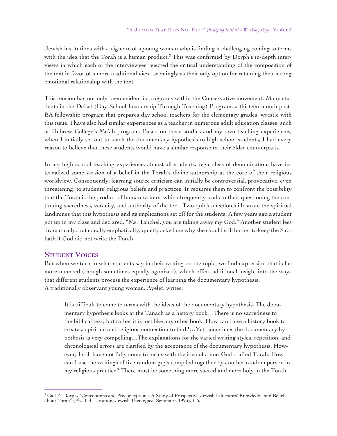Jewish institutions with a vignette of a young woman who is finding it challenging coming to terms with the idea that the Torah is a human product.<sup>3</sup> This was confirmed by Dorph's in-depth interviews in which each of the interviewees rejected the critical understanding of the composition of the text in favor of a more traditional view, seemingly as their only option for retaining their strong emotional relationship with the text.

This tension has not only been evident in programs within the Conservative movement. Many students in the DeLet (Day School Leadership Through Teaching) Program, a thirteen-month post-BA fellowship program that prepares day school teachers for the elementary grades, wrestle with this issue. I have also had similar experiences as a teacher in numerous adult education classes, such as Hebrew College's Me'ah program. Based on these studies and my own teaching experiences, when I initially set out to teach the documentary hypothesis to high school students, I had every reason to believe that these students would have a similar response to their older counterparts.

In my high school teaching experience, almost all students, regardless of denomination, have internalized some version of a belief in the Torah's divine authorship at the core of their religious worldview. Consequently, learning source criticism can initially be controversial, provocative, even threatening, to students' religious beliefs and practices. It requires them to confront the possibility that the Torah is the product of human writers, which frequently leads to their questioning the continuing sacredness, veracity, and authority of the text. Two quick anecdotes illustrate the spiritual landmines that this hypothesis and its implications set off for the students: A few years ago a student got up in my class and declared, "Ms. Tanchel, you are taking away my God." Another student less dramatically, but equally emphatically, quietly asked me why she should still bother to keep the Sabbath if God did not write the Torah.

# **STUDENT VOICES**

But when we turn to what students say in their writing on the topic, we find expression that is far more nuanced (though sometimes equally agonized), which offers additional insight into the ways that different students process the experience of learning the documentary hypothesis. A traditionally observant young woman, Ayelet, writes:

It is difficult to come to terms with the ideas of the documentary hypothesis. The documentary hypothesis looks at the Tanach as a history book…There is no sacredness to the biblical text, but rather it is just like any other book. How can I use a history book to create a spiritual and religious connection to G-d?…Yet, sometimes the documentary hypothesis is very compelling…The explanations for the varied writing styles, repetition, and chronological errors are clarified by the acceptance of the documentary hypothesis. However, I still have not fully come to terms with the idea of a non-God crafted Torah. How can I use the writings of five random guys compiled together by another random person in my religious practice? There must be something more sacred and more holy in the Torah.

<sup>3</sup> Gail Z. Dorph, "Conceptions and Preconceptions: A Study of Prospective Jewish Educators' Knowledge and Beliefs about Torah" (Ph.D. dissertation, Jewish Theological Seminary, 1993), 1-5.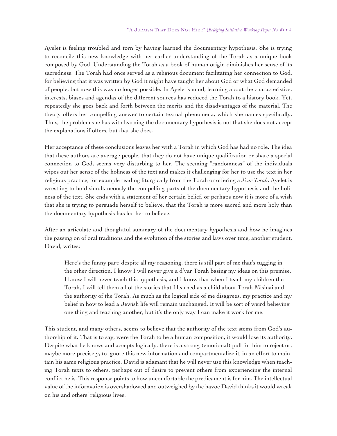Ayelet is feeling troubled and torn by having learned the documentary hypothesis. She is trying to reconcile this new knowledge with her earlier understanding of the Torah as a unique book composed by God. Understanding the Torah as a book of human origin diminishes her sense of its sacredness. The Torah had once served as a religious document facilitating her connection to God, for believing that it was written by God it might have taught her about God or what God demanded of people, but now this was no longer possible. In Ayelet's mind, learning about the characteristics, interests, biases and agendas of the different sources has reduced the Torah to a history book. Yet, repeatedly she goes back and forth between the merits and the disadvantages of the material. The theory offers her compelling answer to certain textual phenomena, which she names specifically. Thus, the problem she has with learning the documentary hypothesis is not that she does not accept the explanations if offers, but that she does.

Her acceptance of these conclusions leaves her with a Torah in which God has had no role. The idea that these authors are average people, that they do not have unique qualification or share a special connection to God, seems very disturbing to her. The seeming "randomness" of the individuals wipes out her sense of the holiness of the text and makes it challenging for her to use the text in her religious practice, for example reading liturgically from the Torah or offering a *d'var Torah*. Ayelet is wrestling to hold simultaneously the compelling parts of the documentary hypothesis and the holiness of the text. She ends with a statement of her certain belief, or perhaps now it is more of a wish that she is trying to persuade herself to believe, that the Torah is more sacred and more holy than the documentary hypothesis has led her to believe.

After an articulate and thoughtful summary of the documentary hypothesis and how he imagines the passing on of oral traditions and the evolution of the stories and laws over time, another student, David, writes:

Here's the funny part: despite all my reasoning, there is still part of me that's tugging in the other direction. I know I will never give a d'var Torah basing my ideas on this premise, I know I will never teach this hypothesis, and I know that when I teach my children the Torah, I will tell them all of the stories that I learned as a child about Torah Misinai and the authority of the Torah. As much as the logical side of me disagrees, my practice and my belief in how to lead a Jewish life will remain unchanged. It will be sort of weird believing one thing and teaching another, but it's the only way I can make it work for me.

This student, and many others, seems to believe that the authority of the text stems from God's authorship of it. That is to say, were the Torah to be a human composition, it would lose its authority. Despite what he knows and accepts logically, there is a strong (emotional) pull for him to reject or, maybe more precisely, to ignore this new information and compartmentalize it, in an effort to maintain his same religious practice. David is adamant that he will never use this knowledge when teaching Torah texts to others, perhaps out of desire to prevent others from experiencing the internal conflict he is. This response points to how uncomfortable the predicament is for him. The intellectual value of the information is overshadowed and outweighed by the havoc David thinks it would wreak on his and others' religious lives.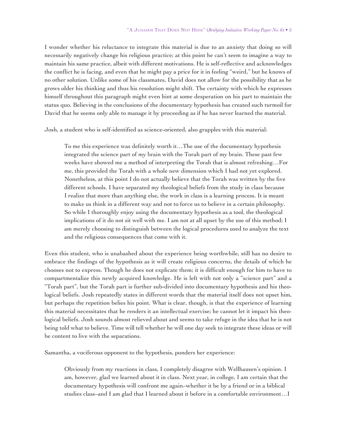I wonder whether his reluctance to integrate this material is due to an anxiety that doing so will necessarily negatively change his religious practice; at this point he can't seem to imagine a way to maintain his same practice, albeit with different motivations. He is self-reflective and acknowledges the conflict he is facing, and even that he might pay a price for it in feeling "weird," but he knows of no other solution. Unlike some of his classmates, David does not allow for the possibility that as he grows older his thinking and thus his resolution might shift. The certainty with which he expresses himself throughout this paragraph might even hint at some desperation on his part to maintain the status quo. Believing in the conclusions of the documentary hypothesis has created such turmoil for David that he seems only able to manage it by proceeding as if he has never learned the material.

Josh, a student who is self-identified as science-oriented, also grapples with this material:

To me this experience was definitely worth it…The use of the documentary hypothesis integrated the science part of my brain with the Torah part of my brain. These past few weeks have showed me a method of interpreting the Torah that is almost refreshing…For me, this provided the Torah with a whole new dimension which I had not yet explored. Nonetheless, at this point I do not actually believe that the Torah was written by the five different schools. I have separated my theological beliefs from the study in class because I realize that more than anything else, the work in class is a learning process. It is meant to make us think in a different way and not to force us to believe in a certain philosophy. So while I thoroughly enjoy using the documentary hypothesis as a tool, the theological implications of it do not sit well with me. I am not at all upset by the use of this method; I am merely choosing to distinguish between the logical procedures used to analyze the text and the religious consequences that come with it.

Even this student, who is unabashed about the experience being worthwhile, still has no desire to embrace the findings of the hypothesis as it will create religious concerns, the details of which he chooses not to express. Though he does not explicate them; it is difficult enough for him to have to compartmentalize this newly acquired knowledge. He is left with not only a "science part" and a "Torah part", but the Torah part is further sub-divided into documentary hypothesis and his theological beliefs. Josh repeatedly states in different words that the material itself does not upset him, but perhaps the repetition belies his point. What is clear, though, is that the experience of learning this material necessitates that he renders it an intellectual exercise; he cannot let it impact his theological beliefs. Josh sounds almost relieved about and seems to take refuge in the idea that he is not being told what to believe. Time will tell whether he will one day seek to integrate these ideas or will be content to live with the separations.

Samantha, a vociferous opponent to the hypothesis, ponders her experience:

Obviously from my reactions in class, I completely disagree with Wellhausen's opinion. I am, however, glad we learned about it in class. Next year, in college, I am certain that the documentary hypothesis will confront me again–whether it be by a friend or in a biblical studies class–and I am glad that I learned about it before in a comfortable environment…I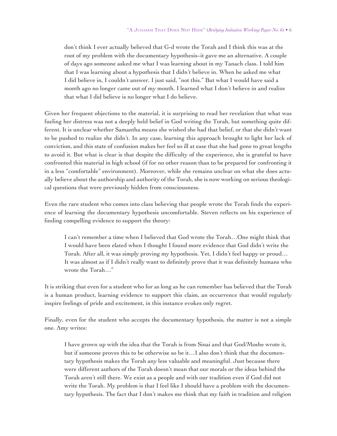don't think I ever actually believed that G-d wrote the Torah and I think this was at the root of my problem with the documentary hypothesis–it gave me an alternative. A couple of days ago someone asked me what I was learning about in my Tanach class. I told him that I was learning about a hypothesis that I didn't believe in. When he asked me what I did believe in, I couldn't answer. I just said, "not this." But what I would have said a month ago no longer came out of my mouth. I learned what I don't believe in and realize that what I did believe is no longer what I do believe.

Given her frequent objections to the material, it is surprising to read her revelation that what was fueling her distress was not a deeply held belief in God writing the Torah, but something quite different. It is unclear whether Samantha means she wished she had that belief, or that she didn't want to be pushed to realize she didn't. In any case, learning this approach brought to light her lack of conviction, and this state of confusion makes her feel so ill at ease that she had gone to great lengths to avoid it. But what is clear is that despite the difficulty of the experience, she is grateful to have confronted this material in high school (if for no other reason than to be prepared for confronting it in a less "comfortable" environment). Moreover, while she remains unclear on what she does actually believe about the authorship and authority of the Torah, she is now working on serious theological questions that were previously hidden from consciousness.

Even the rare student who comes into class believing that people wrote the Torah finds the experience of learning the documentary hypothesis uncomfortable. Steven reflects on his experience of finding compelling evidence to support the theory:

I can't remember a time when I believed that God wrote the Torah…One might think that I would have been elated when I thought I found more evidence that God didn't write the Torah. After all, it was simply proving my hypothesis. Yet, I didn't feel happy or proud… It was almost as if I didn't really want to definitely prove that it was definitely humans who wrote the Torah…"

It is striking that even for a student who for as long as he can remember has believed that the Torah is a human product, learning evidence to support this claim, an occurrence that would regularly inspire feelings of pride and excitement, in this instance evokes only regret.

Finally, even for the student who accepts the documentary hypothesis, the matter is not a simple one. Amy writes:

I have grown up with the idea that the Torah is from Sinai and that God/Moshe wrote it, but if someone proves this to be otherwise so be it…I also don't think that the documentary hypothesis makes the Torah any less valuable and meaningful. Just because there were different authors of the Torah doesn't mean that our morals or the ideas behind the Torah aren't still there. We exist as a people and with our tradition even if God did not write the Torah. My problem is that I feel like I should have a problem with the documentary hypothesis. The fact that I don't makes me think that my faith in tradition and religion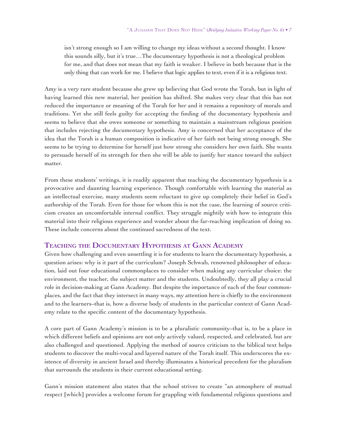isn't strong enough so I am willing to change my ideas without a second thought. I know this sounds silly, but it's true…The documentary hypothesis is not a theological problem for me, and that does not mean that my faith is weaker. I believe in both because that is the only thing that can work for me. I believe that logic applies to text, even if it is a religious text.

Amy is a very rare student because she grew up believing that God wrote the Torah, but in light of having learned this new material, her position has shifted. She makes very clear that this has not reduced the importance or meaning of the Torah for her and it remains a repository of morals and traditions. Yet she still feels guilty for accepting the finding of the documentary hypothesis and seems to believe that she owes someone or something to maintain a mainstream religious position that includes rejecting the documentary hypothesis. Amy is concerned that her acceptance of the idea that the Torah is a human composition is indicative of her faith not being strong enough. She seems to be trying to determine for herself just how strong she considers her own faith. She wants to persuade herself of its strength for then she will be able to justify her stance toward the subject matter.

From these students' writings, it is readily apparent that teaching the documentary hypothesis is a provocative and daunting learning experience. Though comfortable with learning the material as an intellectual exercise, many students seem reluctant to give up completely their belief in God's authorship of the Torah. Even for those for whom this is not the case, the learning of source criticism creates an uncomfortable internal conflict. They struggle mightily with how to integrate this material into their religious experience and wonder about the far-reaching implication of doing so. These include concerns about the continued sacredness of the text.

# **Teaching the Documentary Hypothesis at Gann Academy**

Given how challenging and even unsettling it is for students to learn the documentary hypothesis, a question arises: why is it part of the curriculum? Joseph Schwab, renowned philosopher of education, laid out four educational commonplaces to consider when making any curricular choice: the environment, the teacher, the subject matter and the students. Undoubtedly, they all play a crucial role in decision-making at Gann Academy. But despite the importance of each of the four commonplaces, and the fact that they intersect in many ways, my attention here is chiefly to the environment and to the learners–that is, how a diverse body of students in the particular context of Gann Academy relate to the specific content of the documentary hypothesis.

A core part of Gann Academy's mission is to be a pluralistic community–that is, to be a place in which different beliefs and opinions are not only actively valued, respected, and celebrated, but are also challenged and questioned. Applying the method of source criticism to the biblical text helps students to discover the multi-vocal and layered nature of the Torah itself. This underscores the existence of diversity in ancient Israel and thereby illuminates a historical precedent for the pluralism that surrounds the students in their current educational setting.

Gann's mission statement also states that the school strives to create "an atmosphere of mutual respect [which] provides a welcome forum for grappling with fundamental religious questions and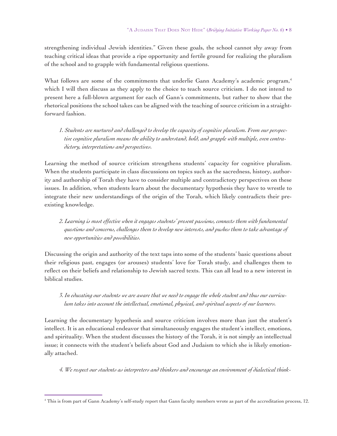strengthening individual Jewish identities." Given these goals, the school cannot shy away from teaching critical ideas that provide a ripe opportunity and fertile ground for realizing the pluralism of the school and to grapple with fundamental religious questions.

What follows are some of the commitments that underlie Gann Academy's academic program,<sup>4</sup> which I will then discuss as they apply to the choice to teach source criticism. I do not intend to present here a full-blown argument for each of Gann's commitments, but rather to show that the rhetorical positions the school takes can be aligned with the teaching of source criticism in a straightforward fashion.

*1. Students are nurtured and challenged to develop the capacity of cognitive pluralism. From our perspective cognitive pluralism means the ability to understand, hold, and grapple with multiple, even contradictory, interpretations and perspectives.*

Learning the method of source criticism strengthens students' capacity for cognitive pluralism. When the students participate in class discussions on topics such as the sacredness, history, authority and authorship of Torah they have to consider multiple and contradictory perspectives on these issues. In addition, when students learn about the documentary hypothesis they have to wrestle to integrate their new understandings of the origin of the Torah, which likely contradicts their preexisting knowledge.

*2. Learning is most effective when it engages students' present passions, connects them with fundamental questions and concerns, challenges them to develop new interests, and pushes them to take advantage of new opportunities and possibilities.*

Discussing the origin and authority of the text taps into some of the students' basic questions about their religious past, engages (or arouses) students' love for Torah study, and challenges them to reflect on their beliefs and relationship to Jewish sacred texts. This can all lead to a new interest in biblical studies.

*3. In educating our students we are aware that we need to engage the whole student and thus our curriculum takes into account the intellectual, emotional, physical, and spiritual aspects of our learners.*

Learning the documentary hypothesis and source criticism involves more than just the student's intellect. It is an educational endeavor that simultaneously engages the student's intellect, emotions, and spirituality. When the student discusses the history of the Torah, it is not simply an intellectual issue; it connects with the student's beliefs about God and Judaism to which she is likely emotionally attached.

*4. We respect our students as interpreters and thinkers and encourage an environment of dialectical think-*

<sup>4</sup> This is from part of Gann Academy's self-study report that Gann faculty members wrote as part of the accreditation process, 12.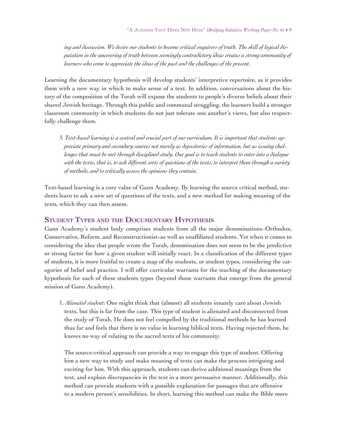*ing and discussion. We desire our students to become critical enquirers of truth. The skill of logical disputation in the uncovering of truth between seemingly contradictory ideas creates a strong community of learners who come to appreciate the ideas of the past and the challenges of the present.*

Learning the documentary hypothesis will develop students' interpretive repertoire, as it provides them with a new way in which to make sense of a text. In addition, conversations about the history of the composition of the Torah will expose the students to people's diverse beliefs about their shared Jewish heritage. Through this public and communal struggling, the learners build a stronger classroom community in which students do not just tolerate one another's views, but also respectfully challenge them.

*5. Text-based learning is a central and crucial part of our curriculum. It is important that students appreciate primary and secondary sources not merely as depositories of information, but as issuing challenges that must be met through disciplined study. Our goal is to teach students to enter into a dialogue with the texts, that is, to ask different sorts of questions of the texts, to interpret them through a variety of methods, and to critically assess the opinions they contain.*

Text-based learning is a core value of Gann Academy. By learning the source critical method, students learn to ask a new set of questions of the texts, and a new method for making meaning of the texts, which they can then assess.

#### **Student Types and the Documentary Hypothesis**

Gann Academy's student body comprises students from all the major denominations–Orthodox, Conservative, Reform, and Reconstructionist–as well as unaffiliated students. Yet when it comes to considering the idea that people wrote the Torah, denomination does not seem to be the predictive or strong factor for how a given student will initially react. In a classification of the different types of students, it is more fruitful to create a map of the students, or student types, considering the categories of belief and practice. I will offer curricular warrants for the teaching of the documentary hypothesis for each of these students types (beyond those warrants that emerge from the general mission of Gann Academy).

1. *Alienated student*: One might think that (almost) all students innately care about Jewish texts, but this is far from the case. This type of student is alienated and disconnected from the study of Torah. He does not feel compelled by the traditional methods he has learned thus far and feels that there is no value in learning biblical texts. Having rejected them, he knows no way of relating to the sacred texts of his community.

The source-critical approach can provide a way to engage this type of student. Offering him a new way to study and make meaning of texts can make the process intriguing and exciting for him. With this approach, students can derive additional meanings from the text, and explain discrepancies in the text in a more persuasive manner. Additionally, this method can provide students with a possible explanation for passages that are offensive to a modern person's sensibilities. In short, learning this method can make the Bible more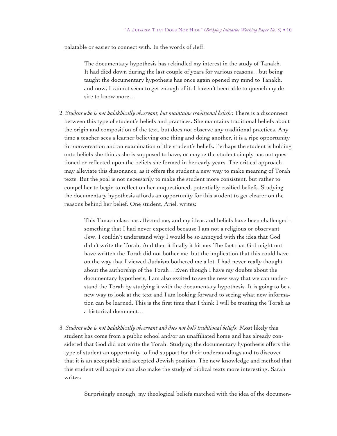palatable or easier to connect with. In the words of Jeff:

The documentary hypothesis has rekindled my interest in the study of Tanakh. It had died down during the last couple of years for various reasons…but being taught the documentary hypothesis has once again opened my mind to Tanakh, and now, I cannot seem to get enough of it. I haven't been able to quench my desire to know more…

2. *Student who is not halakhically observant, but maintains traditional beliefs*: There is a disconnect between this type of student's beliefs and practices. She maintains traditional beliefs about the origin and composition of the text, but does not observe any traditional practices. Any time a teacher sees a learner believing one thing and doing another, it is a ripe opportunity for conversation and an examination of the student's beliefs. Perhaps the student is holding onto beliefs she thinks she is supposed to have, or maybe the student simply has not questioned or reflected upon the beliefs she formed in her early years. The critical approach may alleviate this dissonance, as it offers the student a new way to make meaning of Torah texts. But the goal is not necessarily to make the student more consistent, but rather to compel her to begin to reflect on her unquestioned, potentially ossified beliefs. Studying the documentary hypothesis affords an opportunity for this student to get clearer on the reasons behind her belief. One student, Ariel, writes:

> This Tanach class has affected me, and my ideas and beliefs have been challenged– something that I had never expected because I am not a religious or observant Jew. I couldn't understand why I would be so annoyed with the idea that God didn't write the Torah. And then it finally it hit me. The fact that G-d might not have written the Torah did not bother me–but the implication that this could have on the way that I viewed Judaism bothered me a lot. I had never really thought about the authorship of the Torah…Even though I have my doubts about the documentary hypothesis, I am also excited to see the new way that we can understand the Torah by studying it with the documentary hypothesis. It is going to be a new way to look at the text and I am looking forward to seeing what new information can be learned. This is the first time that I think I will be treating the Torah as a historical document…

3. *Student who is not halakhically observant and does not hold traditional beliefs*: Most likely this student has come from a public school and/or an unaffiliated home and has already considered that God did not write the Torah. Studying the documentary hypothesis offers this type of student an opportunity to find support for their understandings and to discover that it is an acceptable and accepted Jewish position. The new knowledge and method that this student will acquire can also make the study of biblical texts more interesting. Sarah writes:

Surprisingly enough, my theological beliefs matched with the idea of the documen-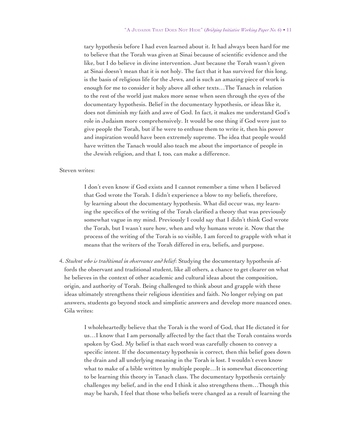tary hypothesis before I had even learned about it. It had always been hard for me to believe that the Torah was given at Sinai because of scientific evidence and the like, but I do believe in divine intervention. Just because the Torah wasn't given at Sinai doesn't mean that it is not holy. The fact that it has survived for this long, is the basis of religious life for the Jews, and is such an amazing piece of work is enough for me to consider it holy above all other texts…The Tanach in relation to the rest of the world just makes more sense when seen through the eyes of the documentary hypothesis. Belief in the documentary hypothesis, or ideas like it, does not diminish my faith and awe of God. In fact, it makes me understand God's role in Judaism more comprehensively. It would be one thing if God were just to give people the Torah, but if he were to enthuse them to write it, then his power and inspiration would have been extremely supreme. The idea that people would have written the Tanach would also teach me about the importance of people in the Jewish religion, and that I, too, can make a difference.

#### Steven writes:

I don't even know if God exists and I cannot remember a time when I believed that God wrote the Torah. I didn't experience a blow to my beliefs, therefore, by learning about the documentary hypothesis. What did occur was, my learning the specifics of the writing of the Torah clarified a theory that was previously somewhat vague in my mind. Previously I could say that I didn't think God wrote the Torah, but I wasn't sure how, when and why humans wrote it. Now that the process of the writing of the Torah is so visible, I am forced to grapple with what it means that the writers of the Torah differed in era, beliefs, and purpose.

4. *Student who is traditional in observance and belief*: Studying the documentary hypothesis affords the observant and traditional student, like all others, a chance to get clearer on what he believes in the context of other academic and cultural ideas about the composition, origin, and authority of Torah. Being challenged to think about and grapple with these ideas ultimately strengthens their religious identities and faith. No longer relying on pat answers, students go beyond stock and simplistic answers and develop more nuanced ones. Gila writes:

> I wholeheartedly believe that the Torah is the word of God, that He dictated it for us…I know that I am personally affected by the fact that the Torah contains words spoken by God. My belief is that each word was carefully chosen to convey a specific intent. If the documentary hypothesis is correct, then this belief goes down the drain and all underlying meaning in the Torah is lost. I wouldn't even know what to make of a bible written by multiple people…It is somewhat disconcerting to be learning this theory in Tanach class. The documentary hypothesis certainly challenges my belief, and in the end I think it also strengthens them…Though this may be harsh, I feel that those who beliefs were changed as a result of learning the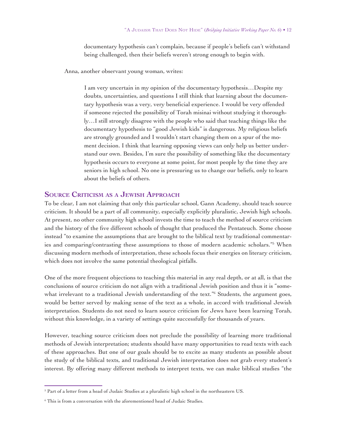documentary hypothesis can't complain, because if people's beliefs can't withstand being challenged, then their beliefs weren't strong enough to begin with.

Anna, another observant young woman, writes:

I am very uncertain in my opinion of the documentary hypothesis…Despite my doubts, uncertainties, and questions I still think that learning about the documentary hypothesis was a very, very beneficial experience. I would be very offended if someone rejected the possibility of Torah misinai without studying it thoroughly…I still strongly disagree with the people who said that teaching things like the documentary hypothesis to "good Jewish kids" is dangerous. My religious beliefs are strongly grounded and I wouldn't start changing them on a spur of the moment decision. I think that learning opposing views can only help us better understand our own. Besides, I'm sure the possibility of something like the documentary hypothesis occurs to everyone at some point, for most people by the time they are seniors in high school. No one is pressuring us to change our beliefs, only to learn about the beliefs of others.

# **Source Criticism as a Jewish Approach**

To be clear, I am not claiming that only this particular school, Gann Academy, should teach source criticism. It should be a part of all community, especially explicitly pluralistic, Jewish high schools. At present, no other community high school invests the time to teach the method of source criticism and the history of the five different schools of thought that produced the Pentateuch. Some choose instead "to examine the assumptions that are brought to the biblical text by traditional commentaries and comparing/contrasting these assumptions to those of modern academic scholars."5 When discussing modern methods of interpretation, these schools focus their energies on literary criticism, which does not involve the same potential theological pitfalls.

One of the more frequent objections to teaching this material in any real depth, or at all, is that the conclusions of source criticism do not align with a traditional Jewish position and thus it is "somewhat irrelevant to a traditional Jewish understanding of the text."6 Students, the argument goes, would be better served by making sense of the text as a whole, in accord with traditional Jewish interpretation. Students do not need to learn source criticism for Jews have been learning Torah, without this knowledge, in a variety of settings quite successfully for thousands of years.

However, teaching source criticism does not preclude the possibility of learning more traditional methods of Jewish interpretation; students should have many opportunities to read texts with each of these approaches. But one of our goals should be to excite as many students as possible about the study of the biblical texts, and traditional Jewish interpretation does not grab every student's interest. By offering many different methods to interpret texts, we can make biblical studies "the

 5 Part of a letter from a head of Judaic Studies at a pluralistic high school in the northeastern US.

 6 This is from a conversation with the aforementioned head of Judaic Studies.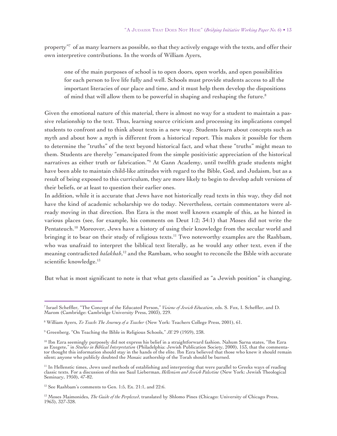property"7 of as many learners as possible, so that they actively engage with the texts, and offer their own interpretive contributions. In the words of William Ayers,

one of the main purposes of school is to open doors, open worlds, and open possibilities for each person to live life fully and well. Schools must provide students access to all the important literacies of our place and time, and it must help them develop the dispositions of mind that will allow them to be powerful in shaping and reshaping the future.<sup>8</sup>

Given the emotional nature of this material, there is almost no way for a student to maintain a passive relationship to the text. Thus, learning source criticism and processing its implications compel students to confront and to think about texts in a new way. Students learn about concepts such as myth and about how a myth is different from a historical report. This makes it possible for them to determine the "truths" of the text beyond historical fact, and what these "truths" might mean to them. Students are thereby "emancipated from the simple positivistic appreciation of the historical narratives as either truth or fabrication."9 At Gann Academy, until twelfth grade students might have been able to maintain child-like attitudes with regard to the Bible, God, and Judaism, but as a result of being exposed to this curriculum, they are more likely to begin to develop adult versions of their beliefs, or at least to question their earlier ones.

In addition, while it is accurate that Jews have not historically read texts in this way, they did not have the kind of academic scholarship we do today. Nevertheless, certain commentators were already moving in that direction. Ibn Ezra is the most well known example of this, as he hinted in various places (see, for example, his comments on Deut 1:2; 34:1) that Moses did not write the Pentateuch.<sup>10</sup> Moreover, Jews have a history of using their knowledge from the secular world and bringing it to bear on their study of religious texts.<sup>11</sup> Two noteworthy examples are the Rashbam, who was unafraid to interpret the biblical text literally, as he would any other text, even if the meaning contradicted *halakhah*, 12 and the Rambam, who sought to reconcile the Bible with accurate scientific knowledge.<sup>13</sup>

But what is most significant to note is that what gets classified as "a Jewish position" is changing,

<sup>7</sup> Israel Scheffler, "The Concept of the Educated Person," *Visions of Jewish Education*, eds. S. Fox, I. Scheffler, and D. Marom (Cambridge: Cambridge University Press, 2003), 229.

<sup>8</sup> William Ayers, *To Teach: The Journey of a Teacher* (New York: Teachers College Press, 2001), 61.

 9 Greenberg, "On Teaching the Bible in Religious Schools," *JE* 29 (1959), 238.

<sup>10</sup> Ibn Ezra seemingly purposely did not express his belief in a straightforward fashion. Nahum Sarna states, "Ibn Ezra as Exegete," in *Studies in Biblical Interpretation* (Philadelphia: Jewish Publication Society, 2000), 153, that the commentator thought this information should stay in the hands of the elite. Ibn Ezra believed that those who knew it should remain silent; anyone who publicly doubted the Mosaic authorship of the Torah should be burned.

<sup>&</sup>lt;sup>11</sup> In Hellenstic times, Jews used methods of establishing and interpreting that were parallel to Greeks ways of reading classic texts. For a discussion of this see Saul Lieberman, *Hellenism and Jewish Palestine* (New York: Jewish Theological Seminary, 1950), 47-82.

<sup>12</sup> See Rashbam's comments to Gen. 1:5, Ex. 21:1, and 22:6.

<sup>13</sup> Moses Maimonides, *The Guide of the Perplexed*, translated by Shlomo Pines (Chicago: University of Chicago Press, 1963), 327-328.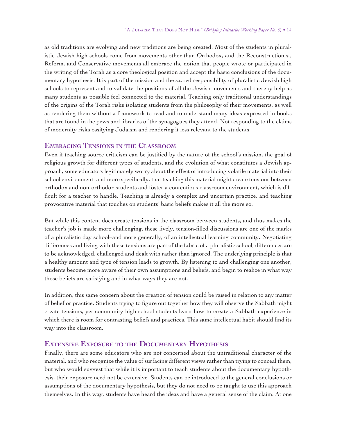as old traditions are evolving and new traditions are being created. Most of the students in pluralistic Jewish high schools come from movements other than Orthodox, and the Reconstructionist, Reform, and Conservative movements all embrace the notion that people wrote or participated in the writing of the Torah as a core theological position and accept the basic conclusions of the documentary hypothesis. It is part of the mission and the sacred responsibility of pluralistic Jewish high schools to represent and to validate the positions of all the Jewish movements and thereby help as many students as possible feel connected to the material. Teaching only traditional understandings of the origins of the Torah risks isolating students from the philosophy of their movements, as well as rendering them without a framework to read and to understand many ideas expressed in books that are found in the pews and libraries of the synagogues they attend. Not responding to the claims of modernity risks ossifying Judaism and rendering it less relevant to the students.

#### **Embracing Tensions in the Classroom**

Even if teaching source criticism can be justified by the nature of the school's mission, the goal of religious growth for different types of students, and the evolution of what constitutes a Jewish approach, some educators legitimately worry about the effect of introducing volatile material into their school environment–and more specifically, that teaching this material might create tensions between orthodox and non-orthodox students and foster a contentious classroom environment, which is difficult for a teacher to handle. Teaching is already a complex and uncertain practice, and teaching provocative material that touches on students' basic beliefs makes it all the more so.

But while this content does create tensions in the classroom between students, and thus makes the teacher's job is made more challenging, these lively, tension-filled discussions are one of the marks of a pluralistic day school–and more generally, of an intellectual learning community. Negotiating differences and living with these tensions are part of the fabric of a pluralistic school; differences are to be acknowledged, challenged and dealt with rather than ignored. The underlying principle is that a healthy amount and type of tension leads to growth. By listening to and challenging one another, students become more aware of their own assumptions and beliefs, and begin to realize in what way those beliefs are satisfying and in what ways they are not.

In addition, this same concern about the creation of tension could be raised in relation to any matter of belief or practice. Students trying to figure out together how they will observe the Sabbath might create tensions, yet community high school students learn how to create a Sabbath experience in which there is room for contrasting beliefs and practices. This same intellectual habit should find its way into the classroom.

# **Extensive Exposure to the Documentary Hypothesis**

Finally, there are some educators who are not concerned about the untraditional character of the material, and who recognize the value of surfacing different views rather than trying to conceal them, but who would suggest that while it is important to teach students about the documentary hypothesis, their exposure need not be extensive. Students can be introduced to the general conclusions or assumptions of the documentary hypothesis, but they do not need to be taught to use this approach themselves. In this way, students have heard the ideas and have a general sense of the claim. At one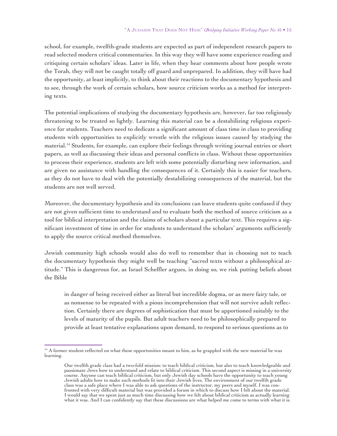school, for example, twelfth-grade students are expected as part of independent research papers to read selected modern critical commentaries. In this way they will have some experience reading and critiquing certain scholars' ideas. Later in life, when they hear comments about how people wrote the Torah, they will not be caught totally off guard and unprepared. In addition, they will have had the opportunity, at least implicitly, to think about their reactions to the documentary hypothesis and to see, through the work of certain scholars, how source criticism works as a method for interpreting texts.

The potential implications of studying the documentary hypothesis are, however, far too religiously threatening to be treated so lightly. Learning this material can be a destabilizing religious experience for students. Teachers need to dedicate a significant amount of class time in class to providing students with opportunities to explicitly wrestle with the religious issues caused by studying the material.14 Students, for example, can explore their feelings through writing journal entries or short papers, as well as discussing their ideas and personal conflicts in class. Without these opportunities to process their experience, students are left with some potentially disturbing new information, and are given no assistance with handling the consequences of it. Certainly this is easier for teachers, as they do not have to deal with the potentially destabilizing consequences of the material, but the students are not well served.

Moreover, the documentary hypothesis and its conclusions can leave students quite confused if they are not given sufficient time to understand and to evaluate both the method of source criticism as a tool for biblical interpretation and the claims of scholars about a particular text. This requires a significant investment of time in order for students to understand the scholars' arguments sufficiently to apply the source critical method themselves.

Jewish community high schools would also do well to remember that in choosing not to teach the documentary hypothesis they might well be teaching "sacred texts without a philosophical attitude." This is dangerous for, as Israel Scheffler argues, in doing so, we risk putting beliefs about the Bible

in danger of being received either as literal but incredible dogma, or as mere fairy tale, or as nonsense to be repeated with a pious incomprehension that will not survive adult reflection. Certainly there are degrees of sophistication that must be apportioned suitably to the levels of maturity of the pupils. But adult teachers need to be philosophically prepared to provide at least tentative explanations upon demand, to respond to serious questions as to

 $14$  A former student reflected on what these opportunities meant to him, as he grappled with the new material he was learning.

Our twelfth grade class had a two-fold mission: to teach biblical criticism, but also to teach knowledgeable and passionate Jews how to understand and relate to biblical criticism. This second aspect is missing in a university course. Anyone can teach biblical criticism, but only Jewish day schools have the opportunity to teach young Jewish adults how to make such methods fit into their Jewish lives. The environment of our twelfth grade class was a safe place where I was able to ask questions of the instructor, my peers and myself. I was confronted with very difficult material but was provided a forum in which to discuss how I felt about the material. I would say that we spent just as much time discussing how we felt about biblical criticism as actually learning what it was. And I can confidently say that these discussions are what helped me come to terms with what it is.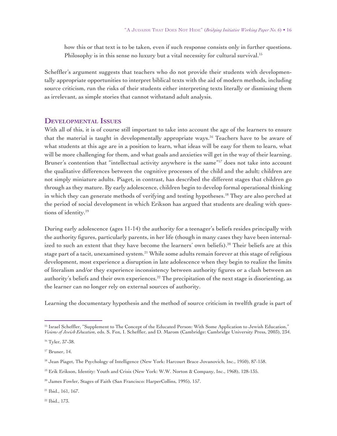how this or that text is to be taken, even if such response consists only in further questions. Philosophy is in this sense no luxury but a vital necessity for cultural survival.<sup>15</sup>

Scheffler's argument suggests that teachers who do not provide their students with developmentally appropriate opportunities to interpret biblical texts with the aid of modern methods, including source criticism, run the risks of their students either interpreting texts literally or dismissing them as irrelevant, as simple stories that cannot withstand adult analysis.

### **Developmental Issues**

With all of this, it is of course still important to take into account the age of the learners to ensure that the material is taught in developmentally appropriate ways.<sup>16</sup> Teachers have to be aware of what students at this age are in a position to learn, what ideas will be easy for them to learn, what will be more challenging for them, and what goals and anxieties will get in the way of their learning. Bruner's contention that "intellectual activity anywhere is the same"<sup>17</sup> does not take into account the qualitative differences between the cognitive processes of the child and the adult; children are not simply miniature adults. Piaget, in contrast, has described the different stages that children go through as they mature. By early adolescence, children begin to develop formal operational thinking in which they can generate methods of verifying and testing hypotheses.<sup>18</sup> They are also perched at the period of social development in which Erikson has argued that students are dealing with questions of identity.19

During early adolescence (ages 11-14) the authority for a teenager's beliefs resides principally with the authority figures, particularly parents, in her life (though in many cases they have been internalized to such an extent that they have become the learners' own beliefs).<sup>20</sup> Their beliefs are at this stage part of a tacit, unexamined system.<sup>21</sup> While some adults remain forever at this stage of religious development, most experience a disruption in late adolescence when they begin to realize the limits of literalism and/or they experience inconsistency between authority figures or a clash between an authority's beliefs and their own experiences.<sup>22</sup> The precipitation of the next stage is disorienting, as the learner can no longer rely on external sources of authority.

Learning the documentary hypothesis and the method of source criticism in twelfth grade is part of

<sup>&</sup>lt;sup>15</sup> Israel Scheffler, "Supplement to The Concept of the Educated Person: With Some Application to Jewish Education," *Visions of Jewish Education*, eds. S. Fox, I. Scheffler, and D. Marom (Cambridge: Cambridge University Press, 2003), 234.

<sup>16</sup> Tyler, 37-38.

<sup>17</sup> Bruner, 14.

<sup>&</sup>lt;sup>18</sup> Jean Piaget, The Psychology of Intelligence (New York: Harcourt Brace Jovanovich, Inc., 1950), 87-158.

<sup>&</sup>lt;sup>19</sup> Erik Erikson, Identity: Youth and Crisis (New York: W.W. Norton & Company, Inc., 1968), 128-135.

<sup>20</sup> James Fowler, Stages of Faith (San Francisco: HarperCollins, 1995), 157.

<sup>21</sup> Ibid., 161, 167.

<sup>22</sup> Ibid., 173.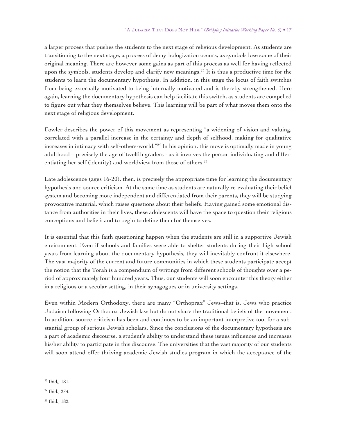a larger process that pushes the students to the next stage of religious development. As students are transitioning to the next stage, a process of demythologization occurs, as symbols lose some of their original meaning. There are however some gains as part of this process as well for having reflected upon the symbols, students develop and clarify new meanings.<sup>23</sup> It is thus a productive time for the students to learn the documentary hypothesis. In addition, in this stage the locus of faith switches from being externally motivated to being internally motivated and is thereby strengthened. Here again, learning the documentary hypothesis can help facilitate this switch, as students are compelled to figure out what they themselves believe. This learning will be part of what moves them onto the next stage of religious development.

Fowler describes the power of this movement as representing "a widening of vision and valuing, correlated with a parallel increase in the certainty and depth of selfhood, making for qualitative increases in intimacy with self-others-world."24 In his opinion, this move is optimally made in young adulthood – precisely the age of twelfth graders - as it involves the person individuating and differentiating her self (identity) and worldview from those of others.<sup>25</sup>

Late adolescence (ages 16-20), then, is precisely the appropriate time for learning the documentary hypothesis and source criticism. At the same time as students are naturally re-evaluating their belief system and becoming more independent and differentiated from their parents, they will be studying provocative material, which raises questions about their beliefs. Having gained some emotional distance from authorities in their lives, these adolescents will have the space to question their religious conceptions and beliefs and to begin to define them for themselves.

It is essential that this faith questioning happen when the students are still in a supportive Jewish environment. Even if schools and families were able to shelter students during their high school years from learning about the documentary hypothesis, they will inevitably confront it elsewhere. The vast majority of the current and future communities in which these students participate accept the notion that the Torah is a compendium of writings from different schools of thoughts over a period of approximately four hundred years. Thus, our students will soon encounter this theory either in a religious or a secular setting, in their synagogues or in university settings.

Even within Modern Orthodoxy, there are many "Orthoprax" Jews–that is, Jews who practice Judaism following Orthodox Jewish law but do not share the traditional beliefs of the movement. In addition, source criticism has been and continues to be an important interpretive tool for a substantial group of serious Jewish scholars. Since the conclusions of the documentary hypothesis are a part of academic discourse, a student's ability to understand these issues influences and increases his/her ability to participate in this discourse. The universities that the vast majority of our students will soon attend offer thriving academic Jewish studies program in which the acceptance of the

<sup>23</sup> Ibid,, 181.

<sup>24</sup> Ibid., 274.

<sup>25</sup> Ibid., 182.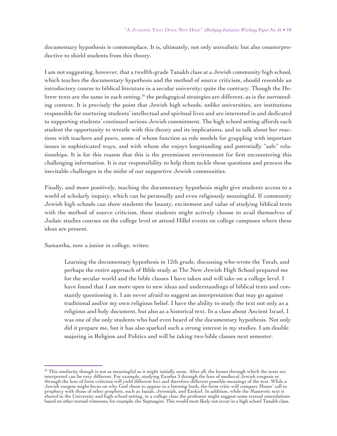documentary hypothesis is commonplace. It is, ultimately, not only unrealistic but also counterproductive to shield students from this theory.

I am not suggesting, however, that a twelfth-grade Tanakh class at a Jewish community high school, which teaches the documentary hypothesis and the method of source criticism, should resemble an introductory course to biblical literature in a secular university; quite the contrary. Though the Hebrew texts are the same in each setting,  $26$  the pedagogical strategies are different, as is the surrounding context. It is precisely the point that Jewish high schools, unlike universities, are institutions responsible for nurturing students' intellectual and spiritual lives and are interested in and dedicated to supporting students' continued serious Jewish commitment. The high school setting affords each student the opportunity to wrestle with this theory and its implications, and to talk about her reactions with teachers and peers, some of whom function as role models for grappling with important issues in sophisticated ways, and with whom she enjoys longstanding and potentially "safe" relationships. It is for this reason that this is the preeminent environment for first encountering this challenging information. It is our responsibility to help them tackle these questions and process the inevitable challenges in the midst of our supportive Jewish communities.

Finally, and more positively, teaching the documentary hypothesis might give students access to a world of scholarly inquiry, which can be personally and even religiously meaningful. If community Jewish high schools can show students the beauty, excitement and value of studying biblical texts with the method of source criticism, these students might actively choose to avail themselves of Judaic studies courses on the college level or attend Hillel events on college campuses where these ideas are present.

Samantha, now a junior in college, writes:

Learning the documentary hypothesis in 12th grade, discussing who wrote the Torah, and perhaps the entire approach of Bible study at The New Jewish High School prepared me for the secular world and the bible classes I have taken and will take on a college level. I have found that I am more open to new ideas and understandings of biblical texts and constantly questioning it. I am never afraid to suggest an interpretation that may go against traditional and/or my own religious belief. I have the ability to study the text not only as a religious and holy document, but also as a historical text. In a class about Ancient Israel, I was one of the only students who had even heard of the documentary hypothesis. Not only did it prepare me, but it has also sparked such a strong interest in my studies. I am double majoring in Religion and Politics and will be taking two bible classes next semester.

 $26$  This similarity though is not as meaningful as it might initially seem. After all, the lenses through which the texts are interpreted can be very different. For example, studying Exodus 3 through the lens of medieval Jewish exegesis or through the lens of form criticism will yield different foci and therefore different possible meanings of the text. While a Jewish exegete might focus on why God chose to appear in a burning bush, the form critic will compare Moses' call to prophecy with those of other prophets, such as Isaiah, Jeremiah, and Ezekiel. In addition, while the Masoretic text is shared in the University and high school setting, in a college class the professor might suggest some textual emendations based on other textual witnesses, for example, the Septuagint. This would most likely not occur in a high school Tanakh class.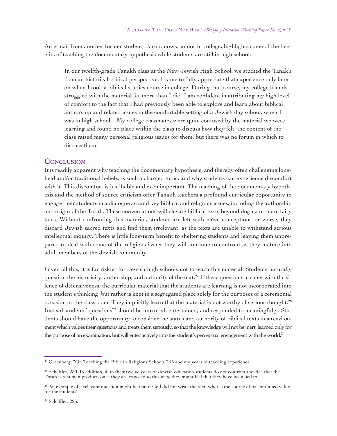An e-mail from another former student, Jason, now a junior in college, highlights some of the benefits of teaching the documentary hypothesis while students are still in high school:

In our twelfth-grade Tanakh class at the New Jewish High School, we studied the Tanakh from an historical-critical perspective. I came to fully appreciate that experience only later on when I took a biblical studies course in college. During that course, my college friends struggled with the material far more than I did. I am confident in attributing my high level of comfort to the fact that I had previously been able to explore and learn about biblical authorship and related issues in the comfortable setting of a Jewish day school, when I was in high school…My college classmates were quite confused by the material we were learning and found no place within the class to discuss how they felt; the content of the class raised many personal religious issues for them, but there was no forum in which to discuss them.

#### **Conclusion**

It is readily apparent why teaching the documentary hypothesis, and thereby often challenging longheld and/or traditional beliefs, is such a charged topic, and why students can experience discomfort with it. This discomfort is justifiable and even important. The teaching of the documentary hypothesis and the method of source criticism offer Tanakh teachers a profound curricular opportunity to engage their students in a dialogue around key biblical and religious issues, including the authorship and origin of the Torah. These conversations will elevate biblical texts beyond dogma or mere fairy tales. Without confronting this material, students are left with naïve conceptions–or worse, they discard Jewish sacred texts and find them irrelevant, as the texts are unable to withstand serious intellectual inquiry. There is little long-term benefit to sheltering students and leaving them unprepared to deal with some of the religious issues they will continue to confront as they mature into adult members of the Jewish community.

Given all this, it is far riskier for Jewish high schools not to teach this material. Students naturally question the historicity, authorship, and authority of the text.<sup>27</sup> If these questions are met with the silence of defensiveness, the curricular material that the students are learning is not incorporated into the student's thinking, but rather is kept in a segregated place solely for the purposes of a ceremonial occasion or the classroom. They implicitly learn that the material is not worthy of serious thought.<sup>28</sup> Instead students' questions<sup>29</sup> should be nurtured, entertained, and responded to meaningfully. Students should have the opportunity to consider the status and authority of biblical texts in an environment which values their questions and treats them seriously, so that the knowledge will not be inert, learned only for the purpose of an examination, but will enter actively into the student's perceptual engagement with the world.<sup>30</sup>

<sup>&</sup>lt;sup>27</sup> Greenberg, "On Teaching the Bible in Religious Schools," 46 and my years of teaching experience.

<sup>28</sup> Scheffler, 230. In addition, if, in their twelve years of Jewish education students do not confront the idea that the Torah is a human product, once they are exposed to this idea, they might feel that they have been lied to.

 $29$  An example of a relevant question might be that if God did not write the text, what is the source of its continued value for the student?

<sup>30</sup> Scheffler, 223.